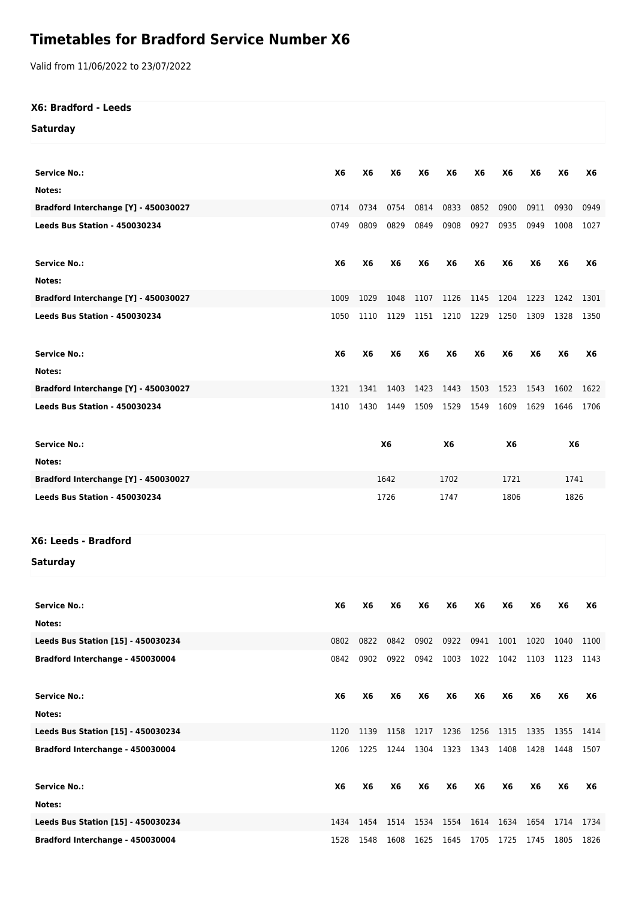## **Timetables for Bradford Service Number X6**

Valid from 11/06/2022 to 23/07/2022

| X6: Bradford - Leeds                 |      |                |      |                        |           |                |                             |           |           |      |
|--------------------------------------|------|----------------|------|------------------------|-----------|----------------|-----------------------------|-----------|-----------|------|
| <b>Saturday</b>                      |      |                |      |                        |           |                |                             |           |           |      |
|                                      |      |                |      |                        |           |                |                             |           |           |      |
| <b>Service No.:</b>                  | X6   | X <sub>6</sub> | X6   | X6                     | X6        | X6             | X6                          | X6        | X6        | X6   |
| Notes:                               |      |                |      |                        |           |                |                             |           |           |      |
| Bradford Interchange [Y] - 450030027 | 0714 | 0734           | 0754 | 0814                   | 0833      | 0852           | 0900                        | 0911      | 0930      | 0949 |
| Leeds Bus Station - 450030234        | 0749 | 0809           | 0829 | 0849                   | 0908      | 0927           | 0935                        | 0949      | 1008      | 1027 |
| <b>Service No.:</b>                  | X6   | X6             | X6   | <b>X6</b>              | <b>X6</b> | X6             | X <sub>6</sub>              | <b>X6</b> | <b>X6</b> | X6   |
| Notes:                               |      |                |      |                        |           |                |                             |           |           |      |
| Bradford Interchange [Y] - 450030027 | 1009 | 1029           | 1048 | 1107                   |           | 1126 1145      | 1204                        | 1223      | 1242      | 1301 |
| Leeds Bus Station - 450030234        | 1050 | 1110           | 1129 | 1151                   | 1210      | 1229           | 1250                        | 1309      | 1328      | 1350 |
| <b>Service No.:</b>                  | X6   | X6             | X6   | X6                     | X6        | X6             | X6                          | X6        | X6        | X6   |
| Notes:                               |      |                |      |                        |           |                |                             |           |           |      |
| Bradford Interchange [Y] - 450030027 | 1321 | 1341           | 1403 | 1423                   | 1443      | 1503           | 1523                        | 1543      | 1602      | 1622 |
| Leeds Bus Station - 450030234        | 1410 | 1430           | 1449 | 1509                   | 1529      | 1549           | 1609                        | 1629      | 1646      | 1706 |
| <b>Service No.:</b>                  |      | X <sub>6</sub> |      |                        | X6        | X6             |                             |           | X6        |      |
| Notes:                               |      |                |      |                        |           |                |                             |           |           |      |
| Bradford Interchange [Y] - 450030027 |      | 1642<br>1702   |      | 1721                   | 1741      |                |                             |           |           |      |
| Leeds Bus Station - 450030234        |      | 1726<br>1747   |      |                        | 1806      |                | 1826                        |           |           |      |
| X6: Leeds - Bradford                 |      |                |      |                        |           |                |                             |           |           |      |
| <b>Saturday</b>                      |      |                |      |                        |           |                |                             |           |           |      |
| <b>Service No.:</b>                  | X6   | <b>X6</b>      | X6   | X6                     | X6        | X6             | X6                          | X6        | X6        | X6   |
| Notes:                               |      |                |      |                        |           |                |                             |           |           |      |
| Leeds Bus Station [15] - 450030234   | 0802 | 0822           | 0842 | 0902                   | 0922      | 0941           | 1001                        | 1020      | 1040      | 1100 |
| Bradford Interchange - 450030004     | 0842 | 0902           | 0922 | 0942                   | 1003      | 1022           | 1042                        | 1103      | 1123      | 1143 |
| <b>Service No.:</b>                  | X6   | X6             | X6   | X6                     | X6        | X6             | X6                          | X6        | X6        | X6   |
| Notes:                               |      |                |      |                        |           |                |                             |           |           |      |
| Leeds Bus Station [15] - 450030234   | 1120 | 1139           | 1158 | 1217                   | 1236      | 1256           | 1315                        | 1335      | 1355      | 1414 |
| Bradford Interchange - 450030004     | 1206 | 1225           |      | 1244 1304              |           | 1323 1343 1408 |                             | 1428      | 1448      | 1507 |
|                                      |      |                |      |                        |           |                |                             |           |           |      |
| <b>Service No.:</b>                  | X6   | <b>X6</b>      | X6   | X6                     | X6        | X6             | X6                          | X6        | X6        | Х6   |
| Notes:                               |      |                |      |                        |           |                |                             |           |           |      |
| Leeds Bus Station [15] - 450030234   | 1434 |                |      |                        |           |                |                             |           | 1654 1714 | 1734 |
| Bradford Interchange - 450030004     |      | 1528 1548      | 1608 | 1454 1514 1534<br>1625 | 1554      | 1614           | 1634<br>1645 1705 1725 1745 |           | 1805      | 1826 |